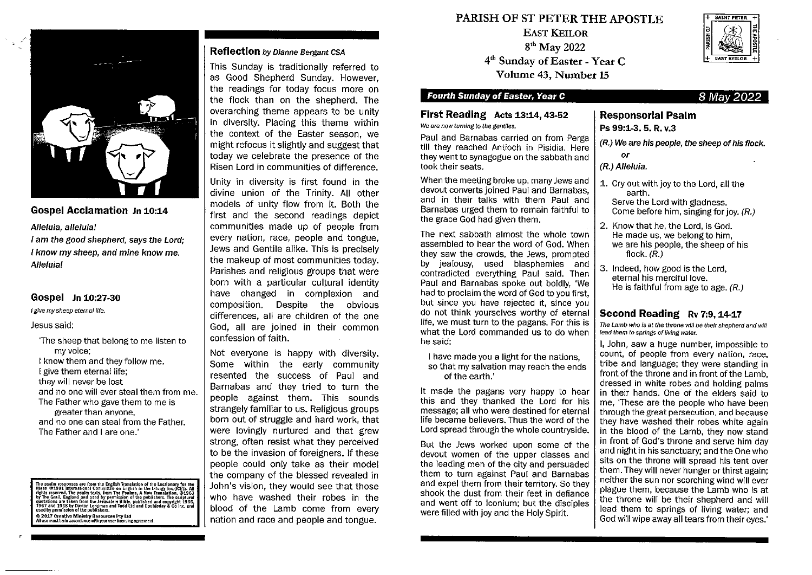

# Gospel Acclamation **1n 10:14**

Alleluia, alleluia! lam the good shepherd, says the Lord; I know my sheep, and mine know me. Alleluia!

# Gospel **1n 10:27-30**

I give my sheep eternal life.

#### Jesus said:

'The sheep that belong to me listen to my voice; I know them and they follow me. I give them eternal life; they will never be lost and no one will ever steal them from me. The Father who gave them to me is greater than anyone, and no one can steal from the Father. The Father and I are one.'

The psain responses are from the English Translation of the Leellanary for the Translation Mass © 1981 International Committee on English in the Liturgy Inc.(ICEL), All the State of the psain texts, then the Winternational © 2017 Creative Ministry Resources Pty Ltd<br>All use must be in accordance with your user licensing agreement.

#### Reflection by Dianne Bergant CSA

This Sunday is traditionally referred to as Good Shepherd Sunday. However, the readings for today focus more on the flock than on the shepherd. The overarching theme appears to be unity in diversity. Placing this theme within the context of the Easter season, we might refocus it slightly and suggest that today we celebrate the presence of the Risen Lord in communities of difference.

Unity in diversity is first found in the divine union of the Trinity. All other models of unity flow from it. Both the first and the second readings depict communities made up of people from every nation, race, people and tongue, Jews and Gentile alike. This is precisely the makeup of most communities today. Parishes and religious groups that were born with a particular cultural identity have changed in complexion and composition. Despite the obvious differences, all are children of the one God, all are joined in their common confession of faith.

Not everyone is happy with diversity. Some within the early community resented the success of Paul and Barnabas and they tried to turn the people against them. This sounds strangely familiar to us. Religious groups born out of struggle and hard work, that were lovingly nurtured and that grew strong, often resist what they perceived to be the invasion of foreigners. If these people could only take as their model the company of the blessed revealed in John's vision, they would see that those who have washed their robes in the blood of the Lamb come from every nation and race and people and tongue.

PARISH OF ST PETER THE APOSTLE EAST KEILOR 8<sup>th</sup> May 2022 4<sup>th</sup> Sunday of Easter - Year C Volume 43, Number 15

# **Fourth** Sunday of **Easter, Year C** 8 May 2022

#### First Reading **Acts 13:14, 43-52**  We are now turning to the gentiles.

Paul and Barnabas carried on from Perga till they reached Antioch in Pisidia. Here they went to synagogue on the sabbath and took their seats.

When the meeting broke up, many Jews and devout converts joined Paul and Barnabas, and in their talks with them Paul and Barnabas urged them to remain faithful to the grace God had given them.

The next sabbath almost the whole town assembled to hear the word of God. When they saw the crowds, the Jews, prompted by jealousy, used blasphemies and contradicted everything Paul said. Then Paul and Barnabas spoke out boldly, 'We had to proclaim the word of God to you first but since you have rejected it, since you do not think yourselves worthy of eternal life, we must turn to the pagans. For this is what the Lord commanded us to do when he said:

I have made you a light for the nations, so that my salvation may reach the ends of the earth.'

It made the pagans very happy to hear this and they thanked the Lord for his message; all who were destined for eternal life became believers. Thus the word of the Lord spread through the whole countryside.

But the Jews worked upon some of the devout women of the upper classes and the leading men of the city and persuaded them to turn against Paul and Barnabas and expel them from their territory. So they shook the dust from their feet in defiance and went off to lconium; but the disciples were filled with joy and the Holy Spirit.

|                        | Ps 99:1-3. 5. R. v.3                                                                                                             |
|------------------------|----------------------------------------------------------------------------------------------------------------------------------|
| Э<br>e                 | (R.) We are his people, the sheep of his flock.                                                                                  |
| d                      | ٥r                                                                                                                               |
|                        | (R.) Alleluia.                                                                                                                   |
| d<br>۱,<br>d           | 1. Cry out with joy to the Lord, all the<br>earth.<br>Serve the Lord with gladness.                                              |
| ٥                      | Come before him, singing for joy. (R.)                                                                                           |
| n<br>n<br>d            | 2. Know that he, the Lord, is God.<br>He made us, we belong to him,<br>we are his people, the sheep of his<br>flock. <i>(R.)</i> |
| d<br>n<br>е<br>t,<br>U | 3. Indeed, how good is the Lord,<br>eternal his merciful love.<br>He is faithful from age to age, (R.)                           |
| ıl                     | Second Reading Ry 7:9, 14-17                                                                                                     |
| s.<br>h                | The Lamb who is at the throne will be their shepherd and will<br>lead them to springs of living water.                           |
|                        | I, John, saw a huge number, impossible to                                                                                        |
|                        |                                                                                                                                  |

Responsorial Psalm

count, of people from every nation, race, tribe and language; they were standing in front of the throne and in front of the Lamb, dressed in white robes and holding palms in their hands. One of the elders said to me, 'These are the people who have been through the great persecution, and because they have washed their robes white again in the blood of the Lamb, they now stand in front of God's throne and serve him day and night in his sanctuary; and the One who sits on the throne will spread his tent over them. They will never hunger or thirst again; neither the sun nor scorching wind will ever plague them, because the Lamb who is at the throne will be their shepherd and will lead them to springs of living water; and God will wipe away all tears from their eyes.'